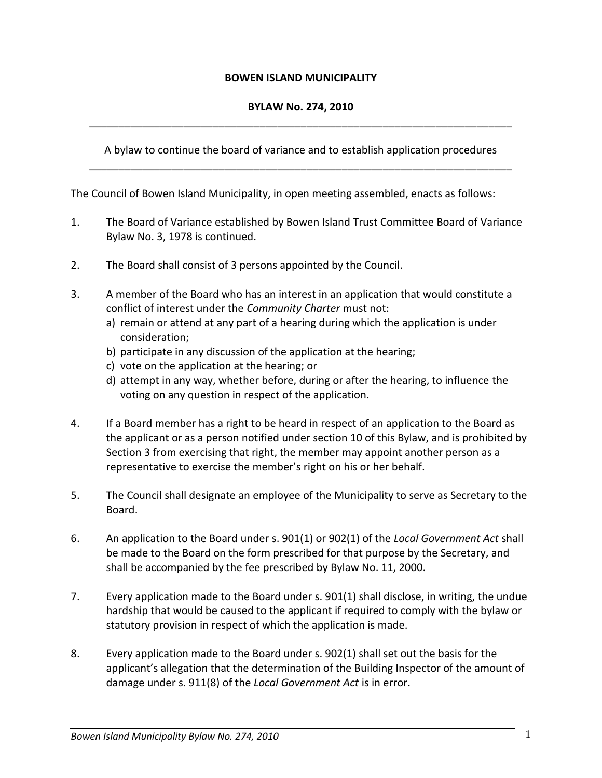## **BOWEN ISLAND MUNICIPALITY**

## **BYLAW No. 274, 2010**  \_\_\_\_\_\_\_\_\_\_\_\_\_\_\_\_\_\_\_\_\_\_\_\_\_\_\_\_\_\_\_\_\_\_\_\_\_\_\_\_\_\_\_\_\_\_\_\_\_\_\_\_\_\_\_\_\_\_\_\_\_\_\_\_\_\_\_\_\_\_\_\_

A bylaw to continue the board of variance and to establish application procedures \_\_\_\_\_\_\_\_\_\_\_\_\_\_\_\_\_\_\_\_\_\_\_\_\_\_\_\_\_\_\_\_\_\_\_\_\_\_\_\_\_\_\_\_\_\_\_\_\_\_\_\_\_\_\_\_\_\_\_\_\_\_\_\_\_\_\_\_\_\_\_\_

The Council of Bowen Island Municipality, in open meeting assembled, enacts as follows:

- 1. The Board of Variance established by Bowen Island Trust Committee Board of Variance Bylaw No. 3, 1978 is continued.
- 2. The Board shall consist of 3 persons appointed by the Council.
- 3. A member of the Board who has an interest in an application that would constitute a conflict of interest under the *Community Charter* must not:
	- a) remain or attend at any part of a hearing during which the application is under consideration;
	- b) participate in any discussion of the application at the hearing;
	- c) vote on the application at the hearing; or
	- d) attempt in any way, whether before, during or after the hearing, to influence the voting on any question in respect of the application.
- 4. If a Board member has a right to be heard in respect of an application to the Board as the applicant or as a person notified under section 10 of this Bylaw, and is prohibited by Section 3 from exercising that right, the member may appoint another person as a representative to exercise the member's right on his or her behalf.
- 5. The Council shall designate an employee of the Municipality to serve as Secretary to the Board.
- 6. An application to the Board under s. 901(1) or 902(1) of the *Local Government Act* shall be made to the Board on the form prescribed for that purpose by the Secretary, and shall be accompanied by the fee prescribed by Bylaw No. 11, 2000.
- 7. Every application made to the Board under s. 901(1) shall disclose, in writing, the undue hardship that would be caused to the applicant if required to comply with the bylaw or statutory provision in respect of which the application is made.
- 8. Every application made to the Board under s. 902(1) shall set out the basis for the applicant's allegation that the determination of the Building Inspector of the amount of damage under s. 911(8) of the *Local Government Act* is in error.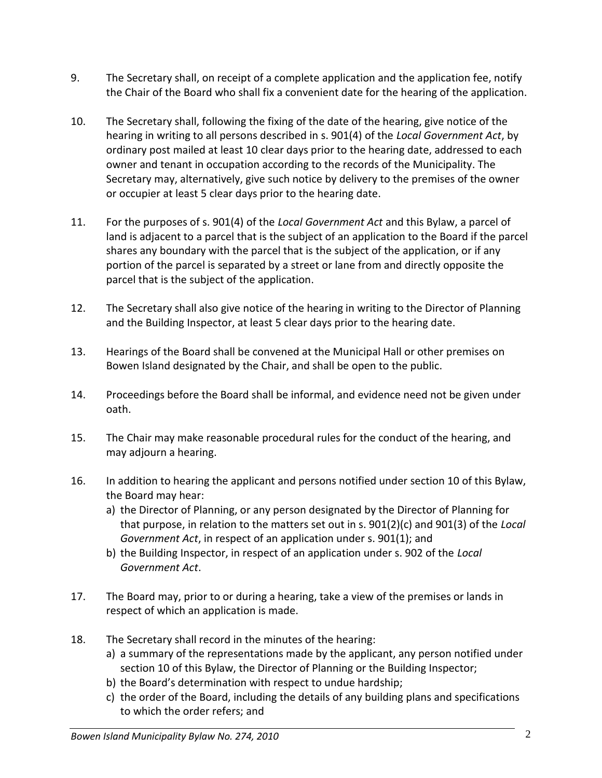- 9. The Secretary shall, on receipt of a complete application and the application fee, notify the Chair of the Board who shall fix a convenient date for the hearing of the application.
- 10. The Secretary shall, following the fixing of the date of the hearing, give notice of the hearing in writing to all persons described in s. 901(4) of the *Local Government Act*, by ordinary post mailed at least 10 clear days prior to the hearing date, addressed to each owner and tenant in occupation according to the records of the Municipality. The Secretary may, alternatively, give such notice by delivery to the premises of the owner or occupier at least 5 clear days prior to the hearing date.
- 11. For the purposes of s. 901(4) of the *Local Government Act* and this Bylaw, a parcel of land is adjacent to a parcel that is the subject of an application to the Board if the parcel shares any boundary with the parcel that is the subject of the application, or if any portion of the parcel is separated by a street or lane from and directly opposite the parcel that is the subject of the application.
- 12. The Secretary shall also give notice of the hearing in writing to the Director of Planning and the Building Inspector, at least 5 clear days prior to the hearing date.
- 13. Hearings of the Board shall be convened at the Municipal Hall or other premises on Bowen Island designated by the Chair, and shall be open to the public.
- 14. Proceedings before the Board shall be informal, and evidence need not be given under oath.
- 15. The Chair may make reasonable procedural rules for the conduct of the hearing, and may adjourn a hearing.
- 16. In addition to hearing the applicant and persons notified under section 10 of this Bylaw, the Board may hear:
	- a) the Director of Planning, or any person designated by the Director of Planning for that purpose, in relation to the matters set out in s. 901(2)(c) and 901(3) of the *Local Government Act*, in respect of an application under s. 901(1); and
	- b) the Building Inspector, in respect of an application under s. 902 of the *Local Government Act*.
- 17. The Board may, prior to or during a hearing, take a view of the premises or lands in respect of which an application is made.
- 18. The Secretary shall record in the minutes of the hearing:
	- a) a summary of the representations made by the applicant, any person notified under section 10 of this Bylaw, the Director of Planning or the Building Inspector;
	- b) the Board's determination with respect to undue hardship;
	- c) the order of the Board, including the details of any building plans and specifications to which the order refers; and